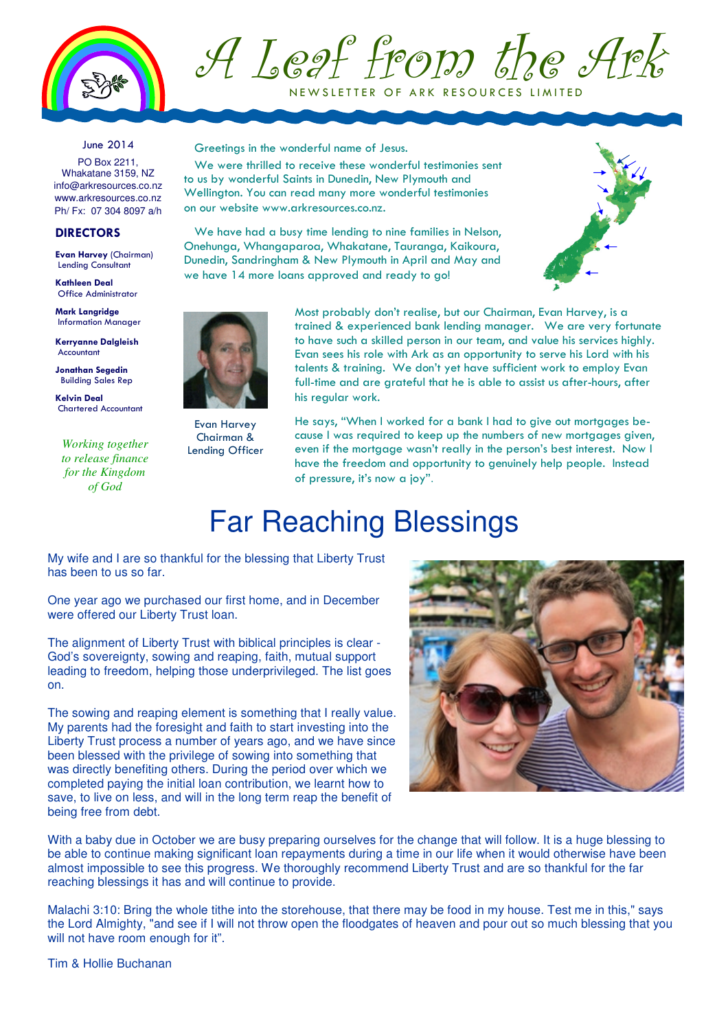

A Leaf from the Ark NEW SLETTER OF ARK RESOURCES LIMITED

June 2014

PO Box 2211, Whakatane 3159, NZ info@arkresources.co.nz www.arkresources.co.nz Ph/ Fx: 07 304 8097 a/h

## **DIRECTORS**

Evan Harvey (Chairman) Lending Consultant

Kathleen Deal Office Administrator

Mark Langridge Information Manager

Kerryanne Dalgleish Accountant

Jonathan Segedin Building Sales Rep

Kelvin Deal Chartered Accountant

*Working together to release finance for the Kingdom of God*

Greetings in the wonderful name of Jesus.

We were thrilled to receive these wonderful testimonies sent to us by wonderful Saints in Dunedin, New Plymouth and Wellington. You can read many more wonderful testimonies on our website www.arkresources.co.nz.

We have had a busy time lending to nine families in Nelson, Onehunga, Whangaparoa, Whakatane, Tauranga, Kaikoura, Dunedin, Sandringham & New Plymouth in April and May and we have 14 more loans approved and ready to go!





Evan Harvey Chairman & Lending Officer

Most probably don't realise, but our Chairman, Evan Harvey, is a trained & experienced bank lending manager. We are very fortunate to have such a skilled person in our team, and value his services highly. Evan sees his role with Ark as an opportunity to serve his Lord with his talents & training. We don't yet have sufficient work to employ Evan full-time and are grateful that he is able to assist us after-hours, after his regular work.

He says, "When I worked for a bank I had to give out mortgages because I was required to keep up the numbers of new mortgages given, even if the mortgage wasn't really in the person's best interest. Now I have the freedom and opportunity to genuinely help people. Instead of pressure, it's now a joy".

## Far Reaching Blessings

My wife and I are so thankful for the blessing that Liberty Trust has been to us so far.

One year ago we purchased our first home, and in December were offered our Liberty Trust loan.

The alignment of Liberty Trust with biblical principles is clear - God's sovereignty, sowing and reaping, faith, mutual support leading to freedom, helping those underprivileged. The list goes on.

The sowing and reaping element is something that I really value. My parents had the foresight and faith to start investing into the Liberty Trust process a number of years ago, and we have since been blessed with the privilege of sowing into something that was directly benefiting others. During the period over which we completed paying the initial loan contribution, we learnt how to save, to live on less, and will in the long term reap the benefit of being free from debt.



With a baby due in October we are busy preparing ourselves for the change that will follow. It is a huge blessing to be able to continue making significant loan repayments during a time in our life when it would otherwise have been almost impossible to see this progress. We thoroughly recommend Liberty Trust and are so thankful for the far reaching blessings it has and will continue to provide.

Malachi 3:10: Bring the whole tithe into the storehouse, that there may be food in my house. Test me in this," says the Lord Almighty, "and see if I will not throw open the floodgates of heaven and pour out so much blessing that you will not have room enough for it".